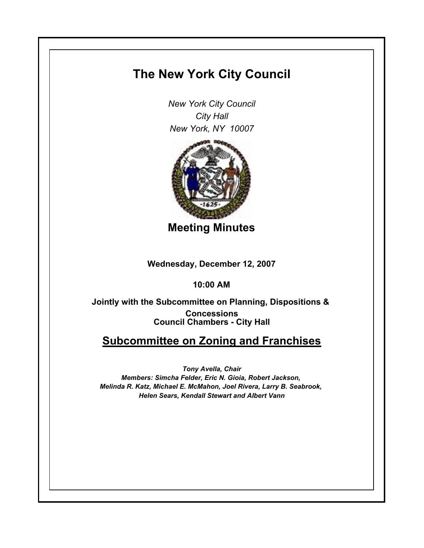## **The New York City Council**

*New York City Council City Hall New York, NY 10007*



**Meeting Minutes**

**Wednesday, December 12, 2007**

**10:00 AM**

**Council Chambers - City Hall Jointly with the Subcommittee on Planning, Dispositions & Concessions**

## **Subcommittee on Zoning and Franchises**

*Tony Avella, Chair Members: Simcha Felder, Eric N. Gioia, Robert Jackson, Melinda R. Katz, Michael E. McMahon, Joel Rivera, Larry B. Seabrook, Helen Sears, Kendall Stewart and Albert Vann*